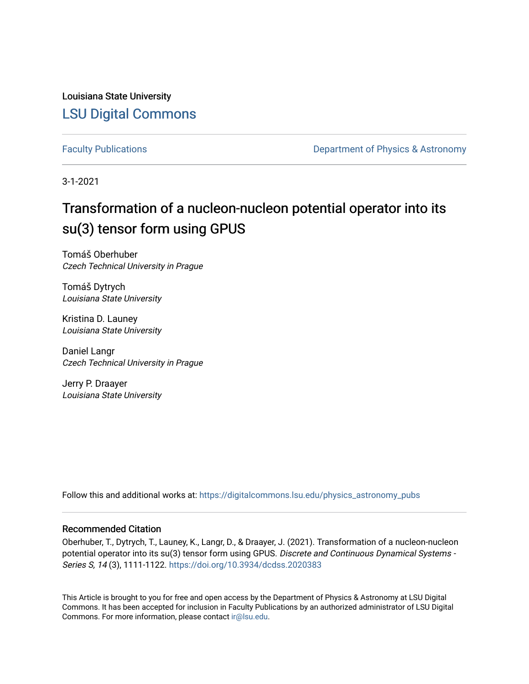Louisiana State University [LSU Digital Commons](https://digitalcommons.lsu.edu/)

[Faculty Publications](https://digitalcommons.lsu.edu/physics_astronomy_pubs) **Exercise 2 and Table 2 and Table 2 and Table 2 and Table 2 and Table 2 and Table 2 and Table 2 and Table 2 and Table 2 and Table 2 and Table 2 and Table 2 and Table 2 and Table 2 and Table 2 and Table** 

3-1-2021

# Transformation of a nucleon-nucleon potential operator into its su(3) tensor form using GPUS

Tomáš Oberhuber Czech Technical University in Prague

Tomáš Dytrych Louisiana State University

Kristina D. Launey Louisiana State University

Daniel Langr Czech Technical University in Prague

Jerry P. Draayer Louisiana State University

Follow this and additional works at: [https://digitalcommons.lsu.edu/physics\\_astronomy\\_pubs](https://digitalcommons.lsu.edu/physics_astronomy_pubs?utm_source=digitalcommons.lsu.edu%2Fphysics_astronomy_pubs%2F1643&utm_medium=PDF&utm_campaign=PDFCoverPages) 

## Recommended Citation

Oberhuber, T., Dytrych, T., Launey, K., Langr, D., & Draayer, J. (2021). Transformation of a nucleon-nucleon potential operator into its su(3) tensor form using GPUS. Discrete and Continuous Dynamical Systems -Series S, 14 (3), 1111-1122. <https://doi.org/10.3934/dcdss.2020383>

This Article is brought to you for free and open access by the Department of Physics & Astronomy at LSU Digital Commons. It has been accepted for inclusion in Faculty Publications by an authorized administrator of LSU Digital Commons. For more information, please contact [ir@lsu.edu](mailto:ir@lsu.edu).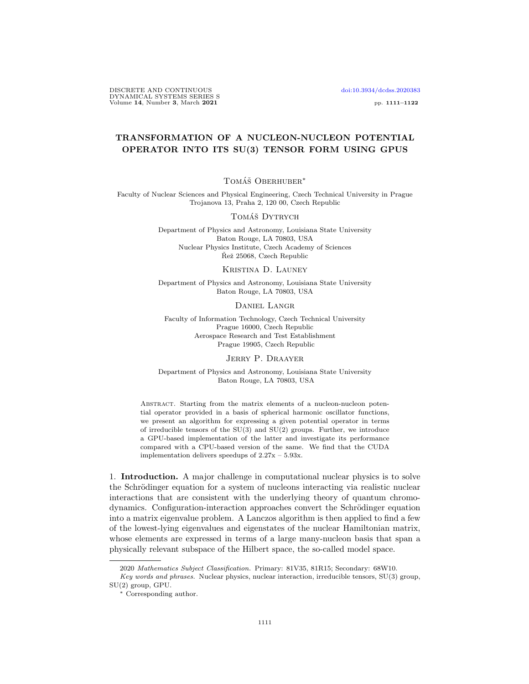DISCRETE AND CONTINUOUS [doi:10.3934/dcdss.2020383](http://dx.doi.org/10.3934/dcdss.2020383) DYNAMICAL SYSTEMS SERIES S Volume 14, Number 3, March 2021 pp. 1111–1122

## TRANSFORMATION OF A NUCLEON-NUCLEON POTENTIAL OPERATOR INTO ITS SU(3) TENSOR FORM USING GPUS

### TOMÁŠ OBERHUBER<sup>\*</sup>

Faculty of Nuclear Sciences and Physical Engineering, Czech Technical University in Prague Trojanova 13, Praha 2, 120 00, Czech Republic

#### TOMÁŠ DYTRYCH

Department of Physics and Astronomy, Louisiana State University Baton Rouge, LA 70803, USA Nuclear Physics Institute, Czech Academy of Sciences Řež 25068, Czech Republic

#### Kristina D. Launey

Department of Physics and Astronomy, Louisiana State University Baton Rouge, LA 70803, USA

Daniel Langr

Faculty of Information Technology, Czech Technical University Prague 16000, Czech Republic Aerospace Research and Test Establishment Prague 19905, Czech Republic

Jerry P. Draayer

Department of Physics and Astronomy, Louisiana State University Baton Rouge, LA 70803, USA

ABSTRACT. Starting from the matrix elements of a nucleon-nucleon potential operator provided in a basis of spherical harmonic oscillator functions, we present an algorithm for expressing a given potential operator in terms of irreducible tensors of the SU(3) and SU(2) groups. Further, we introduce a GPU-based implementation of the latter and investigate its performance compared with a CPU-based version of the same. We find that the CUDA implementation delivers speedups of 2.27x – 5.93x.

1. Introduction. A major challenge in computational nuclear physics is to solve the Schrödinger equation for a system of nucleons interacting via realistic nuclear interactions that are consistent with the underlying theory of quantum chromodynamics. Configuration-interaction approaches convert the Schrödinger equation into a matrix eigenvalue problem. A Lanczos algorithm is then applied to find a few of the lowest-lying eigenvalues and eigenstates of the nuclear Hamiltonian matrix, whose elements are expressed in terms of a large many-nucleon basis that span a physically relevant subspace of the Hilbert space, the so-called model space.

<sup>2020</sup> Mathematics Subject Classification. Primary: 81V35, 81R15; Secondary: 68W10.

Key words and phrases. Nuclear physics, nuclear interaction, irreducible tensors, SU(3) group, SU(2) group, GPU.

<sup>∗</sup> Corresponding author.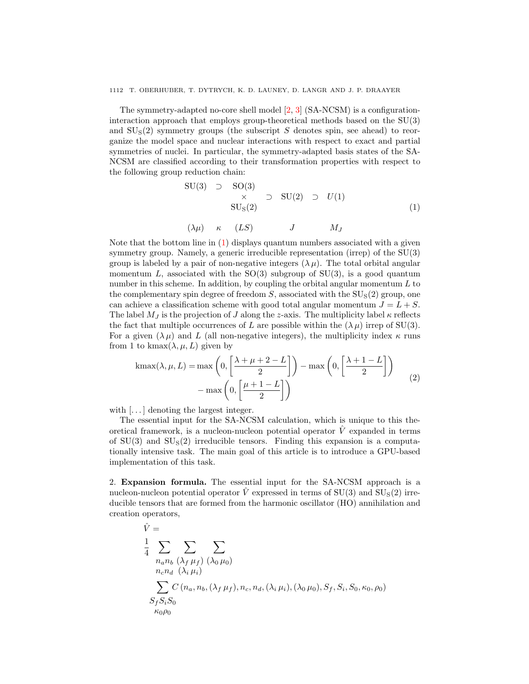The symmetry-adapted no-core shell model [\[2,](#page-12-0) [3\]](#page-12-1) (SA-NCSM) is a configurationinteraction approach that employs group-theoretical methods based on the SU(3) and  $SU<sub>S</sub>(2)$  symmetry groups (the subscript S denotes spin, see ahead) to reorganize the model space and nuclear interactions with respect to exact and partial symmetries of nuclei. In particular, the symmetry-adapted basis states of the SA-NCSM are classified according to their transformation properties with respect to the following group reduction chain:

<span id="page-2-0"></span>
$$
SU(3) \supset SO(3) \times SU(2) \supset U(1)
$$
  

$$
SUS(2)
$$
 (1)

$$
(\lambda \mu) \quad \kappa \quad (LS) \qquad J \qquad M_J
$$

Note that the bottom line in  $(1)$  displays quantum numbers associated with a given symmetry group. Namely, a generic irreducible representation (irrep) of the SU(3) group is labeled by a pair of non-negative integers  $(\lambda \mu)$ . The total orbital angular momentum L, associated with the  $SO(3)$  subgroup of  $SU(3)$ , is a good quantum number in this scheme. In addition, by coupling the orbital angular momentum  $L$  to the complementary spin degree of freedom  $S$ , associated with the  $SU<sub>S</sub>(2)$  group, one can achieve a classification scheme with good total angular momentum  $J = L + S$ . The label  $M_J$  is the projection of J along the z-axis. The multiplicity label  $\kappa$  reflects the fact that multiple occurrences of L are possible within the  $(\lambda \mu)$  irrep of SU(3). For a given  $(\lambda \mu)$  and L (all non-negative integers), the multiplicity index  $\kappa$  runs from 1 to kmax $(\lambda, \mu, L)$  given by

$$
\operatorname{kmax}(\lambda, \mu, L) = \max\left(0, \left[\frac{\lambda + \mu + 2 - L}{2}\right]\right) - \max\left(0, \left[\frac{\lambda + 1 - L}{2}\right]\right) - \max\left(0, \left[\frac{\mu + 1 - L}{2}\right]\right)
$$
\n(2)

with  $\left[\ldots\right]$  denoting the largest integer.

The essential input for the SA-NCSM calculation, which is unique to this theoretical framework, is a nucleon-nucleon potential operator  $\dot{V}$  expanded in terms of  $SU(3)$  and  $SU<sub>S</sub>(2)$  irreducible tensors. Finding this expansion is a computationally intensive task. The main goal of this article is to introduce a GPU-based implementation of this task.

2. Expansion formula. The essential input for the SA-NCSM approach is a nucleon-nucleon potential operator  $\hat{V}$  expressed in terms of  $SU(3)$  and  $SU<sub>S</sub>(2)$  irreducible tensors that are formed from the harmonic oscillator (HO) annihilation and creation operators,

$$
\hat{V} = \frac{1}{4} \sum_{n_a n_b} \sum_{(\lambda_f \mu_f)} \sum_{(\lambda_0 \mu_0)}
$$
\n
$$
\sum_{n_c n_d} (\lambda_i \mu_i)
$$
\n
$$
\sum_{S_f S_i S_0} C(n_a, n_b, (\lambda_f \mu_f), n_c, n_d, (\lambda_i \mu_i), (\lambda_0 \mu_0), S_f, S_i, S_0, \kappa_0, \rho_0)
$$
\n
$$
S_f S_i S_0
$$
\n
$$
\kappa_0 \rho_0
$$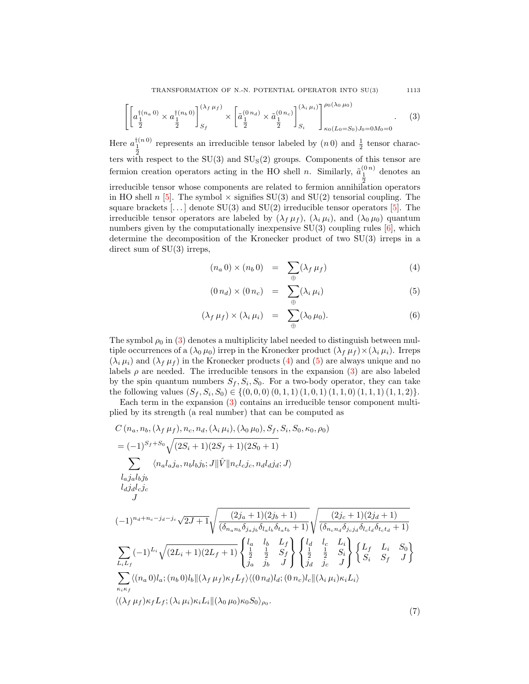TRANSFORMATION OF N.-N. POTENTIAL OPERATOR INTO SU(3) 1113

<span id="page-3-0"></span>
$$
\left[\left[a_{\frac{1}{2}}^{\dagger(n_a,0)} \times a_{\frac{1}{2}}^{\dagger(n_b,0)}\right]_{S_f}^{(\lambda_f,\mu_f)} \times \left[\tilde{a}_{\frac{1}{2}}^{(0,n_d)} \times \tilde{a}_{\frac{1}{2}}^{(0,n_c)}\right]_{S_i}^{(\lambda_i,\mu_i)}\right]_{\kappa_0(L_0=S_0)J_0=0M_0=0}^{\rho_0(\lambda_0,\mu_0)}.\tag{3}
$$

Here  $a_1^{\dagger(n\,0)}$ represents an irreducible tensor labeled by  $(n\,0)$  and  $\frac{1}{2}$  tensor characters with respect to the  $SU(3)$  and  $SU<sub>S</sub>(2)$  groups. Components of this tensor are fermion creation operators acting in the HO shell *n*. Similarly,  $\tilde{a}_{\frac{1}{2}}^{(0n)}$ denotes an irreducible tensor whose components are related to fermion annihilation operators in HO shell n [\[5\]](#page-12-2). The symbol  $\times$  signifies SU(3) and SU(2) tensorial coupling. The square brackets  $[\dots]$  denote SU(3) and SU(2) irreducible tensor operators [\[5\]](#page-12-2). The irreducible tensor operators are labeled by  $(\lambda_f \mu_f)$ ,  $(\lambda_i \mu_i)$ , and  $(\lambda_0 \mu_0)$  quantum numbers given by the computationally inexpensive  $SU(3)$  coupling rules  $[6]$ , which determine the decomposition of the Kronecker product of two SU(3) irreps in a direct sum of SU(3) irreps,

<span id="page-3-1"></span>
$$
(n_a 0) \times (n_b 0) = \sum_{\oplus} (\lambda_f \mu_f) \tag{4}
$$

$$
(0 n_d) \times (0 n_c) = \sum_{\oplus} (\lambda_i \mu_i) \tag{5}
$$

$$
(\lambda_f \,\mu_f) \times (\lambda_i \,\mu_i) = \sum_{\oplus} (\lambda_0 \,\mu_0). \tag{6}
$$

The symbol  $\rho_0$  in [\(3\)](#page-3-0) denotes a multiplicity label needed to distinguish between multiple occurrences of a  $(\lambda_0 \mu_0)$  irrep in the Kronecker product  $(\lambda_f \mu_f) \times (\lambda_i \mu_i)$ . Irreps  $(\lambda_i \mu_i)$  and  $(\lambda_f \mu_f)$  in the Kronecker products [\(4\)](#page-3-1) and [\(5\)](#page-3-1) are always unique and no labels  $\rho$  are needed. The irreducible tensors in the expansion [\(3\)](#page-3-0) are also labeled by the spin quantum numbers  $S_f$ ,  $S_i$ ,  $S_0$ . For a two-body operator, they can take the following values  $(S_f, S_i, S_0) \in \{(0, 0, 0), (0, 1, 1), (1, 0, 1), (1, 1, 0), (1, 1, 1), (1, 1, 2)\}.$ 

Each term in the expansion [\(3\)](#page-3-0) contains an irreducible tensor component multiplied by its strength (a real number) that can be computed as

<span id="page-3-2"></span>
$$
C (n_a, n_b, (\lambda_f \mu_f), n_c, n_d, (\lambda_i \mu_i), (\lambda_0 \mu_0), S_f, S_i, S_0, \kappa_0, \rho_0)
$$
  
=  $(-1)^{S_f+S_0} \sqrt{(2S_i+1)(2S_f+1)(2S_0+1)}$   

$$
\sum_{l_a j_a l_b j_b} \langle n_a l_a j_a, n_b l_b j_b; J || \hat{V} || n_c l_c j_c, n_d l_d j_d; J \rangle
$$
  

$$
l_d j_d l_c j_c
$$
  

$$
J
$$
  
 $(-1)^{n_d+n_c-j_d-j_c} \sqrt{2J+1} \sqrt{\frac{(2j_a+1)(2j_b+1)}{(\delta_{n_a n_b} \delta_{j_a j_b} \delta_{l_a l_b} \delta_{l_a t_b} + 1)}} \sqrt{\frac{(2j_c+1)(2j_d+1)}{(\delta_{n_c n_d} \delta_{j_c j_d} \delta_{l_c l_d} \delta_{t_c t_d} + 1)}}$   

$$
\sum_{L_i L_f} (-1)^{L_i} \sqrt{(2L_i+1)(2L_f+1)} \begin{cases} l_a & l_b & L_f \\ \frac{1}{2} & \frac{1}{2} & S_f \\ \frac{1}{2} & \frac{1}{2} & S_f \\ \frac{1}{2} & \frac{1}{2} & S_i \\ \frac{1}{2} & \frac{1}{2} & S_i \\ \frac{1}{2} & \frac{1}{2} & S_i \\ \frac{1}{2} & \frac{1}{2} & S_i \\ \frac{1}{2} & \frac{1}{2} & S_i \\ \frac{1}{2} & \frac{1}{2} & S_i \\ \frac{1}{2} & \frac{1}{2} & S_i \\ \frac{1}{2} & \frac{1}{2} & S_i \\ \frac{1}{2} & \frac{1}{2} & S_i \\ \frac{1}{2} & \frac{1}{2} & S_i \\ \frac{1}{2} & \frac{1}{2} & S_i \\ \frac{1}{2} & \frac{1}{2} & S_i \\ \frac{1}{2} & \frac{1}{2} & S_i \\ \frac{1}{2} & \frac{1}{2} & S_i \\ \frac{1}{2} & \frac{1}{2} & S_i \\ \frac{1}{2} & \frac{1}{2} & S_i \\ \frac{1}{2} & \frac{1}{2} & S_i \\ \frac{1}{2} & \frac{1}{2} & S_i \\ \frac{
$$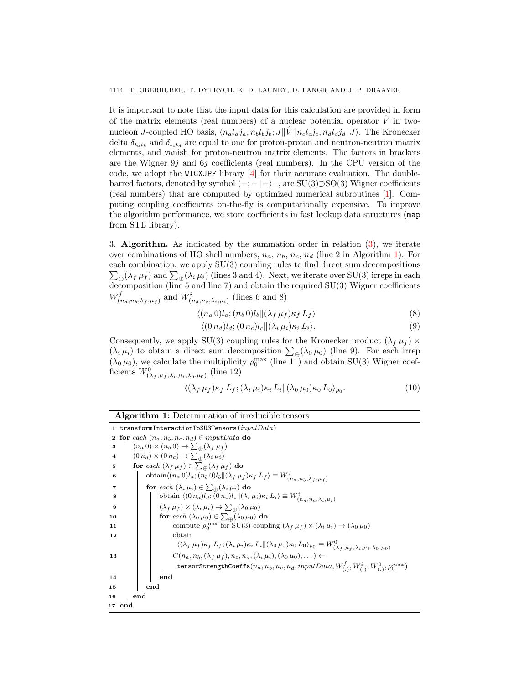It is important to note that the input data for this calculation are provided in form of the matrix elements (real numbers) of a nuclear potential operator  $\hat{V}$  in twonucleon J-coupled HO basis,  $\langle n_a l_a j_a, n_b l_b j_b; J || \hat{V} || n_c l_c j_c, n_d l_d j_d; J \rangle$ . The Kronecker delta  $\delta_{t_a t_b}$  and  $\delta_{t_c t_d}$  are equal to one for proton-proton and neutron-neutron matrix elements, and vanish for proton-neutron matrix elements. The factors in brackets are the Wigner  $9j$  and  $6j$  coefficients (real numbers). In the CPU version of the code, we adopt the WIGXJPF library [\[4\]](#page-12-4) for their accurate evaluation. The doublebarred factors, denoted by symbol  $\langle -; -| - \rangle$ , are SU(3)⊃SO(3) Wigner coefficients (real numbers) that are computed by optimized numerical subroutines [\[1\]](#page-12-5). Computing coupling coefficients on-the-fly is computationally expensive. To improve the algorithm performance, we store coefficients in fast lookup data structures (map from STL library).

3. Algorithm. As indicated by the summation order in relation [\(3\)](#page-3-0), we iterate over combinations of HO shell numbers,  $n_a$ ,  $n_b$ ,  $n_c$ ,  $n_d$  (line 2 in Algorithm [1\)](#page-4-0). For each combination, we apply SU(3) coupling rules to find direct sum decompositions  $\sum_{\oplus} (\lambda_f \mu_f)$  and  $\sum_{\oplus} (\lambda_i \mu_i)$  (lines 3 and 4). Next, we iterate over SU(3) irreps in each decomposition (line 5 and line 7) and obtain the required SU(3) Wigner coefficients  $W^f_{\alpha}$  $\mathcal{H}^f_{(n_a,n_b,\lambda_f,\mu_f)}$  and  $W^i_{(n_d,n_c,\lambda_i,\mu_i)}$  (lines 6 and 8)

$$
\langle (n_a 0)l_a; (n_b 0)l_b \Vert (\lambda_f \mu_f) \kappa_f L_f \rangle \tag{8}
$$

$$
\langle (0 n_d) l_d; (0 n_c) l_c \| (\lambda_i \mu_i) \kappa_i L_i \rangle. \tag{9}
$$

Consequently, we apply SU(3) coupling rules for the Kronecker product  $(\lambda_f \mu_f) \times$  $(\lambda_i \mu_i)$  to obtain a direct sum decomposition  $\sum_{\oplus} (\lambda_0 \mu_0)$  (line 9). For each irrep  $(\lambda_0 \mu_0)$ , we calculate the multiplicity  $\rho_0^{\max}$  (line 11) and obtain SU(3) Wigner coefficients  $W^0_{(\lambda_f,\mu_f,\lambda_i,\mu_i,\lambda_0,\mu_0)}$  (line 12)

$$
\langle (\lambda_f \mu_f) \kappa_f L_f; (\lambda_i \mu_i) \kappa_i L_i \| (\lambda_0 \mu_0) \kappa_0 L_0 \rangle_{\rho_0}.
$$
 (10)

<span id="page-4-0"></span>

| <b>Algorithm 1:</b> Determination of irreducible tensors                                                                                                                                        |  |  |  |  |  |  |
|-------------------------------------------------------------------------------------------------------------------------------------------------------------------------------------------------|--|--|--|--|--|--|
| 1 transformInteractionToSU3Tensors( $inputData$ )                                                                                                                                               |  |  |  |  |  |  |
| for each $(n_a, n_b, n_c, n_d) \in inputData$ do<br>$\mathbf{2}$                                                                                                                                |  |  |  |  |  |  |
| $(n_a 0) \times (n_b 0) \rightarrow \sum_{\oplus} (\lambda_f \mu_f)$<br>3                                                                                                                       |  |  |  |  |  |  |
| $(0 n_d) \times (0 n_c) \rightarrow \sum_{\oplus} (\lambda_i \mu_i)$<br>$\overline{\mathbf{4}}$                                                                                                 |  |  |  |  |  |  |
| for each $(\lambda_f \mu_f) \in \sum_{\phi} (\lambda_f \mu_f)$ do<br>5                                                                                                                          |  |  |  |  |  |  |
| obtain $\langle (n_a 0) l_a; (n_b 0) l_b   (\lambda_f \mu_f) \kappa_f L_f \rangle \equiv W^f_{(n_a, n_b, \lambda_f, \mu_f)}$<br>6                                                               |  |  |  |  |  |  |
| for each $(\lambda_i \mu_i) \in \sum_{\oplus} (\lambda_i \mu_i)$ do<br>$\overline{\mathbf{7}}$                                                                                                  |  |  |  |  |  |  |
| obtain $\langle (0 n_d) l_d; (0 n_c) l_c    (\lambda_i \mu_i) \kappa_i L_i \rangle \equiv W^i_{(n_d, n_c, \lambda_i, \mu_i)}$<br>8                                                              |  |  |  |  |  |  |
| $(\lambda_f \mu_f) \times (\lambda_i \mu_i) \rightarrow \sum_{\oplus} (\lambda_0 \mu_0)$<br>9                                                                                                   |  |  |  |  |  |  |
| for each $(\lambda_0 \mu_0) \in \sum_{\oplus} (\lambda_0 \mu_0)$ do<br>10                                                                                                                       |  |  |  |  |  |  |
| compute $\rho_0^{\max}$ for SU(3) coupling $(\lambda_f \mu_f) \times (\lambda_i \mu_i) \rightarrow (\lambda_0 \mu_0)$<br>11                                                                     |  |  |  |  |  |  |
| obtain<br>12                                                                                                                                                                                    |  |  |  |  |  |  |
| $\langle (\lambda_f \mu_f) \kappa_f L_f; (\lambda_i \mu_i) \kappa_i L_i    (\lambda_0 \mu_0) \kappa_0 L_0 \rangle_{\rho_0} \equiv W^0_{(\lambda_f, \mu_f, \lambda_i, \mu_i, \lambda_0, \mu_0)}$ |  |  |  |  |  |  |
| $C(n_a, n_b, (\lambda_f \mu_f), n_c, n_d, (\lambda_i \mu_i), (\lambda_0 \mu_0), \dots) \leftarrow$<br>13                                                                                        |  |  |  |  |  |  |
| tensorStrengthCoeffs $(n_a, n_b, n_c, n_d, inputData, W^f_{(.)}, W^i_{(.)}, W^0_{(.)}, \rho^{max}_0)$                                                                                           |  |  |  |  |  |  |
| end<br>14                                                                                                                                                                                       |  |  |  |  |  |  |
| end<br>15                                                                                                                                                                                       |  |  |  |  |  |  |
| end<br>16                                                                                                                                                                                       |  |  |  |  |  |  |
| 17 end                                                                                                                                                                                          |  |  |  |  |  |  |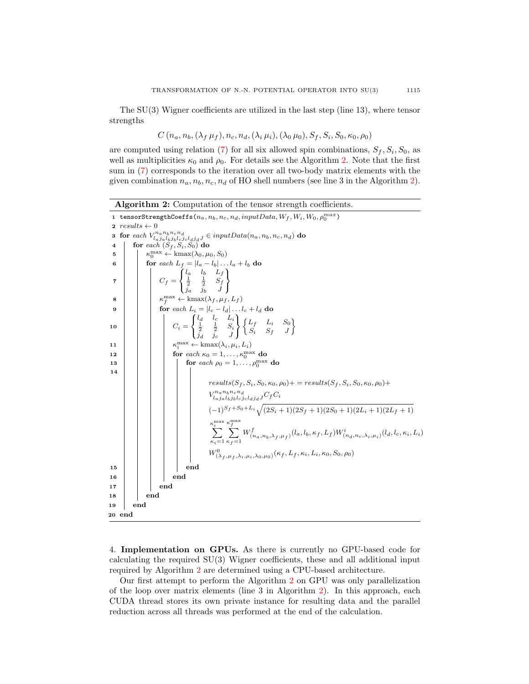The SU(3) Wigner coefficients are utilized in the last step (line 13), where tensor strengths

$$
C(n_a, n_b, (\lambda_f \mu_f), n_c, n_d, (\lambda_i \mu_i), (\lambda_0 \mu_0), S_f, S_i, S_0, \kappa_0, \rho_0)
$$

are computed using relation [\(7\)](#page-3-2) for all six allowed spin combinations,  $S_f$ ,  $S_i$ ,  $S_0$ , as well as multiplicities  $\kappa_0$  and  $\rho_0$ . For details see the Algorithm [2.](#page-5-0) Note that the first sum in [\(7\)](#page-3-2) corresponds to the iteration over all two-body matrix elements with the given combination  $n_a, n_b, n_c, n_d$  of HO shell numbers (see line 3 in the Algorithm [2\)](#page-5-0).

| Algorithm 2: Computation of the tensor strength coefficients. |  |  |  |  |
|---------------------------------------------------------------|--|--|--|--|
|                                                               |  |  |  |  |

|                         |                             |                                                                 | 1 tensorStrengthCoeffs $(n_a, n_b, n_c, n_d, input Data, W_f, W_i, W_0, \rho_0^{max})$                                                                                                    |  |  |  |  |  |
|-------------------------|-----------------------------|-----------------------------------------------------------------|-------------------------------------------------------------------------------------------------------------------------------------------------------------------------------------------|--|--|--|--|--|
|                         | $2 \; results \leftarrow 0$ |                                                                 |                                                                                                                                                                                           |  |  |  |  |  |
|                         |                             |                                                                 | 3 for each $V^{n_a n_b n_c n_d}_{l_a j_a l_b j_b l_c j_c l_d j_d J} \in inputData(n_a, n_b, n_c, n_d)$ do<br>4   for each $(S_f, S_i, S_0)$ do                                            |  |  |  |  |  |
|                         |                             |                                                                 |                                                                                                                                                                                           |  |  |  |  |  |
| 5                       |                             | $\kappa_0^{\max} \leftarrow \text{kmax}(\lambda_0, \mu_0, S_0)$ |                                                                                                                                                                                           |  |  |  |  |  |
| 6                       |                             | for each $L_f =  l_a - l_b  \dots l_a + l_b$ do                 |                                                                                                                                                                                           |  |  |  |  |  |
| $\overline{\mathbf{7}}$ |                             |                                                                 | $C_f = \begin{Bmatrix} l_a & l_b & L_f \\ \frac{1}{2} & \frac{1}{2} & S_f \\ \frac{1}{2} & \frac{1}{2} & I \end{Bmatrix}$                                                                 |  |  |  |  |  |
| 8                       |                             |                                                                 | $\kappa_f^{\max} \leftarrow \text{kmax}(\lambda_f, \mu_f, L_f)$                                                                                                                           |  |  |  |  |  |
| 9                       |                             |                                                                 | for each $L_i =  l_c - l_d  \dots l_c + l_d$ do                                                                                                                                           |  |  |  |  |  |
| 10                      |                             |                                                                 | $C_i = \begin{cases} l_d & l_c & L_i \\ \frac{1}{2} & \frac{1}{2} & S_i \\ \frac{1}{2} & \frac{1}{2} & J \end{cases} \begin{cases} L_f & L_i & S_0 \\ S_i & S_f & J \end{cases}$          |  |  |  |  |  |
| 11                      |                             |                                                                 | $\kappa_i^{\max} \leftarrow \text{kmax}(\lambda_i, \mu_i, L_i)$                                                                                                                           |  |  |  |  |  |
| 12                      |                             |                                                                 | for each $\kappa_0 = 1, \ldots, \kappa_0^{\max}$ do                                                                                                                                       |  |  |  |  |  |
| 13                      |                             |                                                                 | for each $\rho_0 = 1, \ldots, \rho_0^{\max}$ do                                                                                                                                           |  |  |  |  |  |
| 14                      |                             |                                                                 |                                                                                                                                                                                           |  |  |  |  |  |
|                         |                             |                                                                 | $results(S_f, S_i, S_0, \kappa_0, \rho_0)$ + = $results(S_f, S_i, S_0, \kappa_0, \rho_0)$ +                                                                                               |  |  |  |  |  |
|                         |                             |                                                                 | $V^{n_{a}n_{b}n_{c}n_{d}}_{l_{a}j_{a}l_{b}j_{b}l_{c}j_{c}l_{d}j_{d}J}C_{f}C_{i}$                                                                                                          |  |  |  |  |  |
|                         |                             |                                                                 | $(-1)^{S_f+S_0+L_i}\sqrt{(2S_i+1)(2S_f+1)(2S_0+1)(2L_i+1)(2L_f+1)}$                                                                                                                       |  |  |  |  |  |
|                         |                             |                                                                 | $\kappa_i^{\max} \kappa_f^{\max}$<br>$\sum_{\kappa_i=1}^i \sum_{\kappa_f=1}^j W^f_{(n_a,n_b,\lambda_f,\mu_f)}(l_a,l_b,\kappa_f,L_f)W^i_{(n_d,n_c,\lambda_i,\mu_i)}(l_d,l_c,\kappa_i,L_i)$ |  |  |  |  |  |
|                         |                             |                                                                 | $W^0_{(\lambda_f, \mu_f, \lambda_i, \mu_i, \lambda_0, \mu_0)}(\kappa_f, L_f, \kappa_i, L_i, \kappa_0, S_0, \rho_0)$                                                                       |  |  |  |  |  |
| 15                      |                             |                                                                 | end                                                                                                                                                                                       |  |  |  |  |  |
| 16                      |                             |                                                                 | end                                                                                                                                                                                       |  |  |  |  |  |
| 17                      |                             |                                                                 | end                                                                                                                                                                                       |  |  |  |  |  |
| 18                      |                             | end                                                             |                                                                                                                                                                                           |  |  |  |  |  |
| 19                      |                             | end                                                             |                                                                                                                                                                                           |  |  |  |  |  |
|                         | $_{20}\,$ end               |                                                                 |                                                                                                                                                                                           |  |  |  |  |  |

<span id="page-5-0"></span>4. Implementation on GPUs. As there is currently no GPU-based code for calculating the required SU(3) Wigner coefficients, these and all additional input required by Algorithm [2](#page-5-0) are determined using a CPU-based architecture.

Our first attempt to perform the Algorithm [2](#page-5-0) on GPU was only parallelization of the loop over matrix elements (line 3 in Algorithm [2\)](#page-5-0). In this approach, each CUDA thread stores its own private instance for resulting data and the parallel reduction across all threads was performed at the end of the calculation.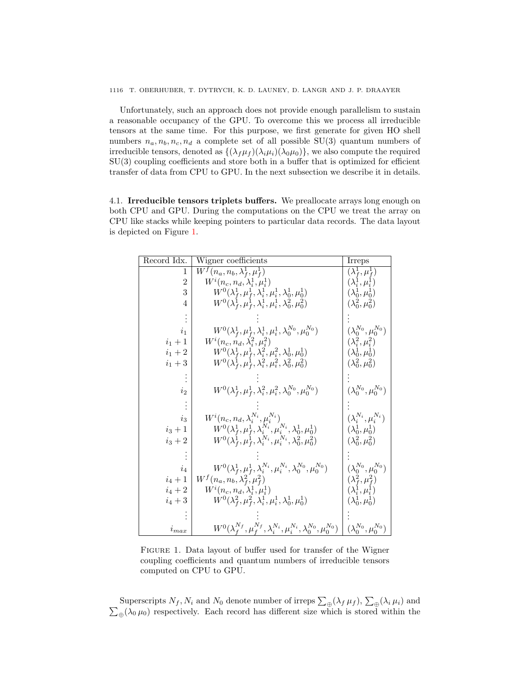Unfortunately, such an approach does not provide enough parallelism to sustain a reasonable occupancy of the GPU. To overcome this we process all irreducible tensors at the same time. For this purpose, we first generate for given HO shell numbers  $n_a, n_b, n_c, n_d$  a complete set of all possible SU(3) quantum numbers of irreducible tensors, denoted as  $\{(\lambda_f \mu_f)(\lambda_i \mu_i)(\lambda_0 \mu_0)\}\$ , we also compute the required SU(3) coupling coefficients and store both in a buffer that is optimized for efficient transfer of data from CPU to GPU. In the next subsection we describe it in details.

4.1. Irreducible tensors triplets buffers. We preallocate arrays long enough on both CPU and GPU. During the computations on the CPU we treat the array on CPU like stacks while keeping pointers to particular data records. The data layout is depicted on Figure [1.](#page-6-0)

| Record Idx.    | Wigner coefficients                                                                        | Irreps                              |
|----------------|--------------------------------------------------------------------------------------------|-------------------------------------|
| 1              | $W^f(n_a, n_b, \lambda_f^1, \mu_f^1)$                                                      | $(\overline{\lambda}_f^1, \mu_f^1)$ |
| $\overline{2}$ | $W^{i}(n_c, n_d, \lambda_i^1, \mu_i^1)$                                                    | $(\lambda_i^1, \mu_i^1)$            |
| 3              | $W^0(\lambda_f^1, \mu_f^1, \lambda_i^1, \mu_i^1, \lambda_0^1, \mu_0^1)$                    | $(\lambda_0^1, \mu_0^1)$            |
| 4              | $W^0(\lambda_f^1, \mu_f^1, \lambda_i^1, \mu_i^1, \lambda_0^2, \mu_0^2)$                    | $(\lambda_0^2, \mu_0^2)$            |
|                |                                                                                            |                                     |
| $i_1$          | $W^0(\lambda_f^1, \mu_f^1, \lambda_i^1, \mu_i^1, \lambda_0^{N_0}, \mu_0^{N_0})$            | $(\lambda_0^{N_0},\mu_0^{N_0})$     |
| $i_1+1$        | $W^{i}(n_c, n_d, \lambda_i^2, \mu_i^2)$                                                    | $(\lambda_i^2, \mu_i^2)$            |
| $i_1+2$        | $W^0(\lambda_f^1, \mu_f^1, \lambda_i^2, \mu_i^2, \lambda_0^1, \mu_0^1)$                    | $(\lambda_0^1, \mu_0^1)$            |
| $i_1+3$        | $W^0(\lambda_f^1, \mu_f^1, \lambda_i^2, \mu_i^2, \lambda_0^2, \mu_0^2)$                    | $(\lambda_0^2, \mu_0^2)$            |
|                |                                                                                            |                                     |
| $i_2$          | $W^0(\lambda_f^1, \mu_f^1, \lambda_i^2, \mu_i^2, \lambda_0^{N_0}, \mu_0^{N_0})$            | $(\lambda_0^{N_0},\mu_0^{N_0})$     |
|                |                                                                                            |                                     |
| $i_3$          | $W^{i}(n_c, n_d, \lambda_i^{N_i}, \mu_i^{N_i})$                                            | $(\lambda_i^{N_i}, \mu_i^{N_i})$    |
| $i_3 + 1$      | $W^0(\lambda_f^1,\mu_f^1,\lambda_i^{N_i},\mu_i^{N_i},\lambda_0^1,\mu_0^1)$                 | $(\lambda_0^1, \mu_0^1)$            |
| $i_3 + 2$      | $W^0(\lambda_f^1, \mu_f^1, \lambda_i^{N_i}, \mu_i^{N_i}, \lambda_0^2, \mu_0^2)$            | $(\lambda_0^2, \mu_0^2)$            |
|                |                                                                                            |                                     |
| $i_4$          | $W^0(\lambda_f^1, \mu_f^1, \lambda_i^{N_i}, \mu_i^{N_i}, \lambda_0^{N_0}, \mu_0^{N_0})$    | $(\lambda_0^{N_0}, \mu_0^{N_0})$    |
| $i_4+1$        | $W^f(n_a, n_b, \lambda_f^2, \mu_f^2)$                                                      | $(\lambda_f^2, \mu_f^2)$            |
| $i_4+2$        | $W^{i}(n_c, n_d, \lambda_i^1, \mu_i^1)$                                                    | $(\lambda_i^1, \mu_i^1)$            |
| $i_4+3$        | $W^0(\lambda_f^2, \mu_f^2, \lambda_i^1, \mu_i^1, \lambda_0^1, \mu_0^1)$                    | $(\lambda_0^1, \mu_0^1)$            |
|                |                                                                                            |                                     |
| $i_{max}$      | $W^0(\lambda_f^{N_f},\mu_f^{N_f},\lambda_i^{N_i},\mu_i^{N_i},\lambda_0^{N_0},\mu_0^{N_0})$ | $(\lambda_0^{N_0},\mu_0^{N_0})$     |

<span id="page-6-0"></span>Figure 1. Data layout of buffer used for transfer of the Wigner coupling coefficients and quantum numbers of irreducible tensors computed on CPU to GPU.

Superscripts  $N_f$ ,  $N_i$  and  $N_0$  denote number of irreps  $\sum_{\oplus} (\lambda_f \mu_f)$ ,  $\sum_{\oplus} (\lambda_i \mu_i)$  and  $\sum_{\oplus} (\lambda_0 \mu_0)$  respectively. Each record has different size which is stored within the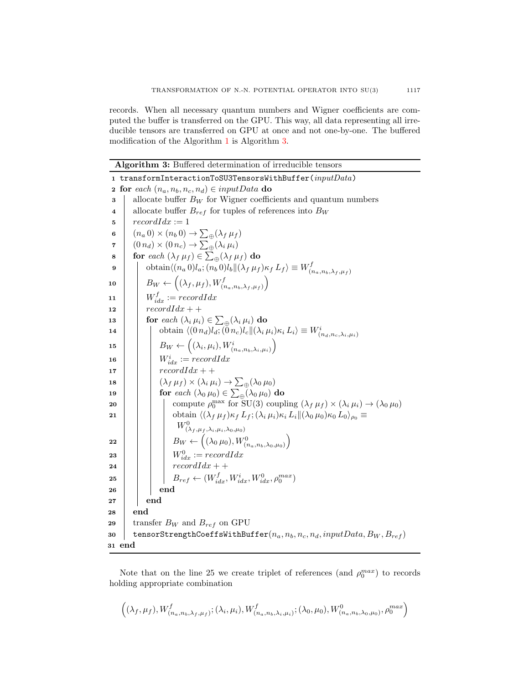records. When all necessary quantum numbers and Wigner coefficients are computed the buffer is transferred on the GPU. This way, all data representing all irreducible tensors are transferred on GPU at once and not one-by-one. The buffered modification of the Algorithm [1](#page-4-0) is Algorithm [3.](#page-7-0)

Algorithm 3: Buffered determination of irreducible tensors

|             | 1 transformInteractionToSU3TensorsWithBuffer( $inputData$ )                                                                               |  |  |  |  |  |  |
|-------------|-------------------------------------------------------------------------------------------------------------------------------------------|--|--|--|--|--|--|
| $\mathbf 2$ | for each $(n_a, n_b, n_c, n_d) \in inputData$ do                                                                                          |  |  |  |  |  |  |
| 3           | allocate buffer $B_W$ for Wigner coefficients and quantum numbers                                                                         |  |  |  |  |  |  |
| 4           | allocate buffer $B_{ref}$ for tuples of references into $B_W$                                                                             |  |  |  |  |  |  |
| 5           | $recordIdx := 1$                                                                                                                          |  |  |  |  |  |  |
| 6           | $(n_a 0) \times (n_b 0) \rightarrow \sum_{\oplus} (\lambda_f \mu_f)$                                                                      |  |  |  |  |  |  |
| 7           | $(0 n_d) \times (0 n_c) \rightarrow \sum_{\alpha} (\lambda_i \mu_i)$                                                                      |  |  |  |  |  |  |
| 8           | for each $(\lambda_f \mu_f) \in \sum_{\oplus} (\lambda_f \mu_f)$ do                                                                       |  |  |  |  |  |  |
| 9           | obtain $\langle (n_a 0) l_a; (n_b 0) l_b \Vert (\lambda_f \mu_f) \kappa_f L_f \rangle \equiv W^f_{(n_a, n_b, \lambda_f, \mu_f)}$          |  |  |  |  |  |  |
| 10          | $B_W \leftarrow \left( (\lambda_f, \mu_f), W^f_{(n_a, n_b, \lambda_f, \mu_f)} \right)$                                                    |  |  |  |  |  |  |
| 11          | $W_{idx}^f := recordIdx$                                                                                                                  |  |  |  |  |  |  |
| 12          | $recordIdx + +$                                                                                                                           |  |  |  |  |  |  |
| 13          | for each $(\lambda_i \mu_i) \in \sum_{\oplus} (\lambda_i \mu_i)$ do                                                                       |  |  |  |  |  |  |
| 14          | obtain $\langle (0 n_d) l_d; (\tilde{0} n_c) l_c    (\lambda_i \mu_i) \kappa_i L_i \rangle \equiv W^i_{(n_d, n_c, \lambda_i, \mu_i)}$     |  |  |  |  |  |  |
| 15          | $B_W \leftarrow \left( (\lambda_i, \mu_i), W^i_{(n_a, n_b, \lambda_i, \mu_i)} \right)$                                                    |  |  |  |  |  |  |
| 16          | $W_{idx}^i := recordIdx$                                                                                                                  |  |  |  |  |  |  |
| 17          | $recordIdx + +$                                                                                                                           |  |  |  |  |  |  |
| 18          | $(\lambda_f \mu_f) \times (\lambda_i \mu_i) \rightarrow \sum_{\oplus} (\lambda_0 \mu_0)$                                                  |  |  |  |  |  |  |
| 19          | for each $(\lambda_0 \mu_0) \in \sum_{\oplus} (\lambda_0 \mu_0)$ do                                                                       |  |  |  |  |  |  |
| 20          | compute $\rho_0^{\max}$ for $SU(3)$ coupling $(\lambda_f \mu_f) \times (\lambda_i \mu_i) \rightarrow (\lambda_0 \mu_0)$                   |  |  |  |  |  |  |
| 21          | obtain $\langle (\lambda_f \mu_f) \kappa_f L_f; (\lambda_i \mu_i) \kappa_i L_i    (\lambda_0 \mu_0) \kappa_0 L_0 \rangle_{\rho_0} \equiv$ |  |  |  |  |  |  |
|             | $W^0_{(\lambda_f,\mu_f,\lambda_i,\mu_i,\lambda_0,\mu_0)}$                                                                                 |  |  |  |  |  |  |
| 22          | $\left  B_W \leftarrow \left( (\lambda_0 \,\mu_0), W^0_{(n_a,n_b,\lambda_0,\mu_0)} \right) \right $                                       |  |  |  |  |  |  |
| 23          | $W_{idx}^0 := recordIdx$                                                                                                                  |  |  |  |  |  |  |
| 24          | $recordIdx + +$                                                                                                                           |  |  |  |  |  |  |
| 25          | $B_{ref} \leftarrow (W_{idx}^f, W_{idx}^i, W_{idx}^0, \rho_0^{max})$                                                                      |  |  |  |  |  |  |
| 26          | end                                                                                                                                       |  |  |  |  |  |  |
| 27          | $_{\mathrm{end}}$                                                                                                                         |  |  |  |  |  |  |
| 28          | end                                                                                                                                       |  |  |  |  |  |  |
| 29          | transfer $B_W$ and $B_{ref}$ on GPU                                                                                                       |  |  |  |  |  |  |
| 30          | tensorStrengthCoeffsWithBuffer $(n_a, n_b, n_c, n_d, inputData, B_W, B_{ref})$                                                            |  |  |  |  |  |  |
|             | 31 end                                                                                                                                    |  |  |  |  |  |  |

<span id="page-7-0"></span>Note that on the line 25 we create triplet of references (and  $\rho_0^{max}$ ) to records holding appropriate combination

$$
((\lambda_f, \mu_f), W^f_{(n_a, n_b, \lambda_f, \mu_f)}; (\lambda_i, \mu_i), W^f_{(n_a, n_b, \lambda_i, \mu_i)}; (\lambda_0, \mu_0), W^0_{(n_a, n_b, \lambda_0, \mu_0)}, \rho_0^{max})
$$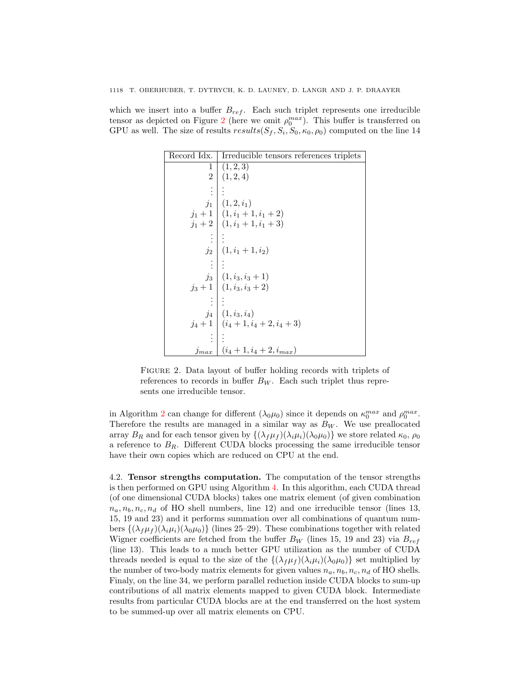which we insert into a buffer  $B_{ref}$ . Each such triplet represents one irreducible tensor as depicted on Figure [2](#page-8-0) (here we omit  $\rho_0^{max}$ ). This buffer is transferred on GPU as well. The size of results  $results(S_f, S_i, S_0, \kappa_0, \rho_0)$  computed on the line 14

| Record Idx.        | Irreducible tensors references triplets |
|--------------------|-----------------------------------------|
| 1                  | (1, 2, 3)                               |
| $\overline{2}$     | (1, 2, 4)                               |
|                    |                                         |
|                    | $j_1   (1,2,i_1)$                       |
|                    | $j_1+1$ $(1,i_1+1,i_1+2)$               |
|                    | $j_1+2$   $(1,i_1+1,i_1+3)$             |
|                    |                                         |
| $j_2$              | $(1,i_1+1,i_2)$                         |
|                    |                                         |
|                    | $j_3 \mid (1, i_3, i_3 + 1)$            |
|                    | $j_3+1$ $(1,i_3,i_3+2)$                 |
|                    |                                         |
|                    | $j_4$ $(1, i_3, i_4)$                   |
|                    | $j_4+1$ $(i_4+1,i_4+2,i_4+3)$           |
|                    |                                         |
| $_{\textit{Jmax}}$ | $(i_4+1,i_4+2,i_{max})$                 |

<span id="page-8-0"></span>FIGURE 2. Data layout of buffer holding records with triplets of references to records in buffer  $B_W$ . Each such triplet thus represents one irreducible tensor.

in Algorithm [2](#page-5-0) can change for different  $(\lambda_0 \mu_0)$  since it depends on  $\kappa_0^{max}$  and  $\rho_0^{max}$ . Therefore the results are managed in a similar way as  $B_W$ . We use preallocated array  $B_R$  and for each tensor given by  $\{(\lambda_f \mu_f)(\lambda_i \mu_i)(\lambda_0 \mu_0)\}\$  we store related  $\kappa_0$ ,  $\rho_0$ a reference to  $B_R$ . Different CUDA blocks processing the same irreducible tensor have their own copies which are reduced on CPU at the end.

4.2. Tensor strengths computation. The computation of the tensor strengths is then performed on GPU using Algorithm [4.](#page-9-0) In this algorithm, each CUDA thread (of one dimensional CUDA blocks) takes one matrix element (of given combination  $n_a, n_b, n_c, n_d$  of HO shell numbers, line 12) and one irreducible tensor (lines 13, 15, 19 and 23) and it performs summation over all combinations of quantum numbers  $\{(\lambda_f \mu_f)(\lambda_i \mu_i)(\lambda_0 \mu_0)\}\$  (lines 25–29). These combinations together with related Wigner coefficients are fetched from the buffer  $B_W$  (lines 15, 19 and 23) via  $B_{ref}$ (line 13). This leads to a much better GPU utilization as the number of CUDA threads needed is equal to the size of the  $\{(\lambda_f \mu_f)(\lambda_i \mu_i)(\lambda_0 \mu_0)\}\$  set multiplied by the number of two-body matrix elements for given values  $n_a, n_b, n_c, n_d$  of HO shells. Finaly, on the line 34, we perform parallel reduction inside CUDA blocks to sum-up contributions of all matrix elements mapped to given CUDA block. Intermediate results from particular CUDA blocks are at the end transferred on the host system to be summed-up over all matrix elements on CPU.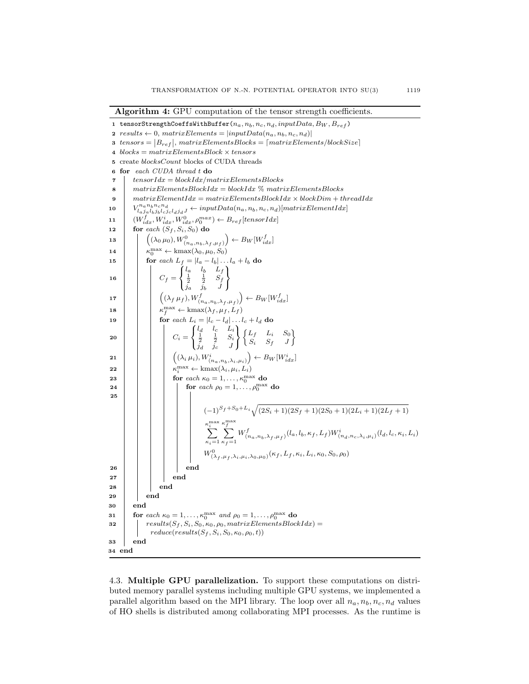Algorithm 4: GPU computation of the tensor strength coefficients. 1 tensorStrengthCoeffsWithBuffer $(n_a, n_b, n_c, n_d, input Data, B_W, B_{ref})$ 2  $results \leftarrow 0$ ,  $matrixElements = |inputData(n_a, n_b, n_c, n_d)|$ 3  $tensors = |B_{ref}|$ ,  $matrixElementsBlocks = [matrixElements/blockSize]$ 4  $blocks = matrixElementsBlock \times tensors$ 5 create blocksCount blocks of CUDA threads 6 for each CUDA thread t do  $7$  tensorIdx = blockIdx/matrixElementsBlocks 8  $\parallel$  matrixElementsBlockIdx = blockIdx % matrixElementsBlocks 9  $matrixElementIdx = matrixElementsBlockIdx \times blockDim + threadIdx$  $10$  $\begin{equation} \begin{aligned} &\mathit{p_{a}n_{b}n_{c}n_{d}}\ &\mathit{l_{a}j_{a}l_{b}j_{b}l_{c}j_{c}l_{d}j_{d}J}\leftarrow inputData(n_{a},n_{b},n_{c},n_{d})[matrixElementIdx]\end{aligned}\end{equation}$ 11  $\left[W_{idx}^f, W_{idx}^i, W_{idx}^0, \rho_0^{max}\right) \leftarrow B_{ref}[tensorIdx]$ 12 for each  $(S_f, S_i, S_0)$  do 13  $\begin{pmatrix} (\lambda_0 \mu_0), W^0_{(n_a,n_b,\lambda_f,\mu_f)}) + B_W[W^f_{idx}] \end{pmatrix}$ 14  $\kappa_0^{\max} \leftarrow \text{kmax}(\lambda_0, \mu_0, S_0)$ 15 **for** each  $L_f = |l_a - l_b| \dots l_a + l_b$  do 16  $C_f =$  $\int$  $\mathcal{L}$  $\begin{array}{ccc} l_a & l_b & L_f \\ \frac{1}{2} & \frac{1}{2} & S_f \end{array}$  $j_a$   $j_b$  J  $\mathcal{L}$ J 17  $\left(\left(\lambda_f \mu_f\right), W^f_{\left(n_a, n_b, \lambda_f, \mu_f\right)}\right) \leftarrow B_W[W^f_{idx}]$ 18  $\kappa_f^{\max} \leftarrow \text{kmax}(\lambda_f, \mu_f, L_f)$ 19  $\Box$  for each  $L_i = |l_c - l_d| \dots l_c + l_d$  do <sup>20</sup> C<sup>i</sup> =  $\int$ J.  $\begin{array}{ccc} l_d & l_c & L_i \\ \frac{1}{2} & \frac{1}{2} & S_i \end{array}$  $j_d$   $j_c$  J  $\mathcal{L}$ J  $\int L_f$   $L_i$   $S_0$  $S_i$   $S_f$  J <sup>1</sup> 21  $\vert$   $\vert$   $\vert$   $\vert$   $\vert$   $\vert$   $\vert$  $(\lambda_i \mu_i), W^i_{(n_a, n_b, \lambda_i, \mu_i)} \right) \leftarrow B_W[W^i_{idx}]$ **22**  $\begin{bmatrix} \kappa_i^{\max} \leftarrow \text{kmax}(\lambda_i, \mu_i, L_i) \end{bmatrix}$ <sup>23</sup> for each κ<sup>0</sup> = 1, . . . , κmax <sup>0</sup> do  $\begin{array}{|c|c|c|c|}\hline \textbf{24} & & \end{array} \begin{array}{|c|c|c|}\hline \textbf{24} & & \textbf{for each }\rho_0=1,\ldots,\rho_0^{\max} \textbf{ do} \ \hline \end{array}$ 25  $(-1)^{S_f+S_0+L_i}\sqrt{(2S_i+1)(2S_f+1)(2S_0+1)(2L_i+1)(2L_f+1)}$  $\sum_{i=1}^{\text{max}}$  $\kappa_i=1$  $\kappa_{f}^{\max}$  $\sum$  $\kappa_f = 1$  $W^f_{(n_a,n_b,\lambda_f,\mu_f)}(l_a,l_b,\kappa_f,L_f)W^i_{(n_d,n_c,\lambda_i,\mu_i)}(l_d,l_c,\kappa_i,L_i)$  $W^0_{(\lambda_f,\mu_f,\lambda_i,\mu_i,\lambda_0,\mu_0)}(\kappa_f,L_f,\kappa_i,L_i,\kappa_0,S_0,\rho_0)$ 26 | | | | end  $27$   $\parallel$   $\parallel$   $\parallel$  end  $28$  | | | end 29 | end 30 end 31 for each  $\kappa_0 = 1, \ldots, \kappa_0^{\max}$  and  $\rho_0 = 1, \ldots, \rho_0^{\max}$  do 32  $results(S_f, S_i, S_0, \kappa_0, \rho_0, matrixElementsBlockIdx) =$  $reduce(results(S_f, S_i, S_0, \kappa_0, \rho_0, t))$ 33 end 34 end

<span id="page-9-0"></span>4.3. Multiple GPU parallelization. To support these computations on distributed memory parallel systems including multiple GPU systems, we implemented a parallel algorithm based on the MPI library. The loop over all  $n_a, n_b, n_c, n_d$  values of HO shells is distributed among collaborating MPI processes. As the runtime is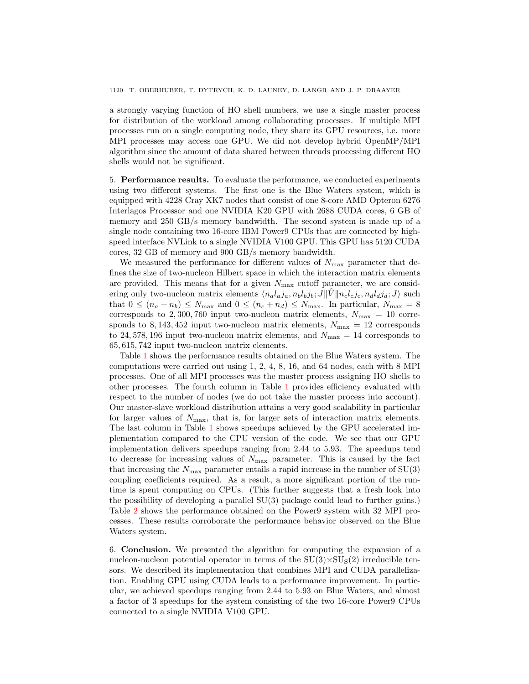a strongly varying function of HO shell numbers, we use a single master process for distribution of the workload among collaborating processes. If multiple MPI processes run on a single computing node, they share its GPU resources, i.e. more MPI processes may access one GPU. We did not develop hybrid OpenMP/MPI algorithm since the amount of data shared between threads processing different HO shells would not be significant.

5. Performance results. To evaluate the performance, we conducted experiments using two different systems. The first one is the Blue Waters system, which is equipped with 4228 Cray XK7 nodes that consist of one 8-core AMD Opteron 6276 Interlagos Processor and one NVIDIA K20 GPU with 2688 CUDA cores, 6 GB of memory and 250 GB/s memory bandwidth. The second system is made up of a single node containing two 16-core IBM Power9 CPUs that are connected by highspeed interface NVLink to a single NVIDIA V100 GPU. This GPU has 5120 CUDA cores, 32 GB of memory and 900 GB/s memory bandwidth.

We measured the performance for different values of  $N_{\text{max}}$  parameter that defines the size of two-nucleon Hilbert space in which the interaction matrix elements are provided. This means that for a given  $N_{\text{max}}$  cutoff parameter, we are considering only two-nucleon matrix elements  $\langle n_a l_a j_a, n_b l_b j_b; J || \hat{V} || n_c l_c j_c, n_d l_d j_d; J \rangle$  such that  $0 \leq (n_a + n_b) \leq N_{\text{max}}$  and  $0 \leq (n_c + n_d) \leq N_{\text{max}}$ . In particular,  $N_{\text{max}} = 8$ corresponds to 2,300,760 input two-nucleon matrix elements,  $N_{\text{max}} = 10$  corresponds to 8, 143, 452 input two-nucleon matrix elements,  $N_{\text{max}} = 12$  corresponds to 24,578,196 input two-nucleon matrix elements, and  $N_{\text{max}} = 14$  corresponds to 65, 615, 742 input two-nucleon matrix elements.

Table [1](#page-11-0) shows the performance results obtained on the Blue Waters system. The computations were carried out using 1, 2, 4, 8, 16, and 64 nodes, each with 8 MPI processes. One of all MPI processes was the master process assigning HO shells to other processes. The fourth column in Table [1](#page-11-0) provides efficiency evaluated with respect to the number of nodes (we do not take the master process into account). Our master-slave workload distribution attains a very good scalability in particular for larger values of  $N_{\text{max}}$ , that is, for larger sets of interaction matrix elements. The last column in Table [1](#page-11-0) shows speedups achieved by the GPU accelerated implementation compared to the CPU version of the code. We see that our GPU implementation delivers speedups ranging from 2.44 to 5.93. The speedups tend to decrease for increasing values of  $N_{\text{max}}$  parameter. This is caused by the fact that increasing the  $N_{\text{max}}$  parameter entails a rapid increase in the number of  $SU(3)$ coupling coefficients required. As a result, a more significant portion of the runtime is spent computing on CPUs. (This further suggests that a fresh look into the possibility of developing a parallel SU(3) package could lead to further gains.) Table [2](#page-11-1) shows the performance obtained on the Power9 system with 32 MPI processes. These results corroborate the performance behavior observed on the Blue Waters system.

6. Conclusion. We presented the algorithm for computing the expansion of a nucleon-nucleon potential operator in terms of the  $SU(3) \times SU<sub>S</sub>(2)$  irreducible tensors. We described its implementation that combines MPI and CUDA parallelization. Enabling GPU using CUDA leads to a performance improvement. In particular, we achieved speedups ranging from 2.44 to 5.93 on Blue Waters, and almost a factor of 3 speedups for the system consisting of the two 16-core Power9 CPUs connected to a single NVIDIA V100 GPU.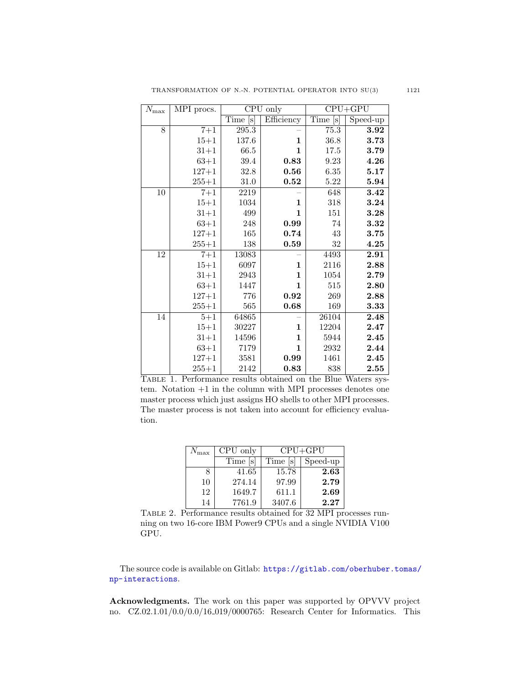| $\bar{N}_{\rm max}$ | MPI procs. | $\overline{\text{CPU}}$ only |              | $CPU + GPU$            |          |
|---------------------|------------|------------------------------|--------------|------------------------|----------|
|                     |            | Time<br>[s]                  | Efficiency   | Time<br>$ \mathbf{s} $ | Speed-up |
| 8                   | $7 + 1$    | 295.3                        |              | 75.3                   | 3.92     |
|                     | $15 + 1$   | 137.6                        | 1            | $36.8\,$               | 3.73     |
|                     | $31 + 1$   | 66.5                         | $\mathbf{1}$ | 17.5                   | 3.79     |
|                     | $63 + 1$   | 39.4                         | 0.83         | 9.23                   | 4.26     |
|                     | $127 + 1$  | 32.8                         | 0.56         | 6.35                   | 5.17     |
|                     | $255 + 1$  | 31.0                         | $\bf 0.52$   | 5.22                   | 5.94     |
| 10                  | $7 + 1$    | 2219                         |              | 648                    | 3.42     |
|                     | $15 + 1$   | 1034                         | 1            | 318                    | 3.24     |
|                     | $31 + 1$   | 499                          | $\mathbf{1}$ | 151                    | 3.28     |
|                     | $63 + 1$   | 248                          | 0.99         | 74                     | 3.32     |
|                     | $127 + 1$  | 165                          | 0.74         | 43                     | 3.75     |
|                     | $255 + 1$  | 138                          | 0.59         | 32                     | 4.25     |
| $\overline{12}$     | $7 + 1$    | 13083                        |              | 4493                   | 2.91     |
|                     | $15 + 1$   | 6097                         | 1            | 2116                   | 2.88     |
|                     | $31 + 1$   | 2943                         | 1            | 1054                   | 2.79     |
|                     | $63 + 1$   | 1447                         | 1            | 515                    | 2.80     |
|                     | $127 + 1$  | 776                          | 0.92         | 269                    | 2.88     |
|                     | $255 + 1$  | 565                          | 0.68         | 169                    | 3.33     |
| 14                  | $5 + 1$    | 64865                        |              | 26104                  | 2.48     |
|                     | $15 + 1$   | 30227                        | 1            | 12204                  | 2.47     |
|                     | $31 + 1$   | 14596                        | 1            | 5944                   | 2.45     |
|                     | $63 + 1$   | 7179                         | 1            | 2932                   | 2.44     |
|                     | $127 + 1$  | 3581                         | 0.99         | 1461                   | 2.45     |
|                     | $255 + 1$  | 2142                         | 0.83         | 838                    | 2.55     |

<span id="page-11-0"></span>Table 1. Performance results obtained on the Blue Waters system. Notation +1 in the column with MPI processes denotes one master process which just assigns HO shells to other MPI processes. The master process is not taken into account for efficiency evaluation.

| $N_{\rm max}$ | CPU only | $CPU + GPU$ |          |  |
|---------------|----------|-------------|----------|--|
|               | Time  s  | Time  s     | Speed-up |  |
|               | 41.65    | 15.78       | 2.63     |  |
| 10            | 274.14   | 97.99       | 2.79     |  |
| 12            | 1649.7   | 611.1       | 2.69     |  |
| 14            | 7761.9   | 3407.6      | 2.27     |  |

<span id="page-11-1"></span>Table 2. Performance results obtained for 32 MPI processes running on two 16-core IBM Power9 CPUs and a single NVIDIA V100 GPU.

The source code is available on Gitlab: [https://gitlab.com/oberhuber.tomas/](https://gitlab.com/oberhuber.tomas/np-interactions) [np-interactions](https://gitlab.com/oberhuber.tomas/np-interactions).

Acknowledgments. The work on this paper was supported by OPVVV project no. CZ.02.1.01/0.0/0.0/16 019/0000765: Research Center for Informatics. This